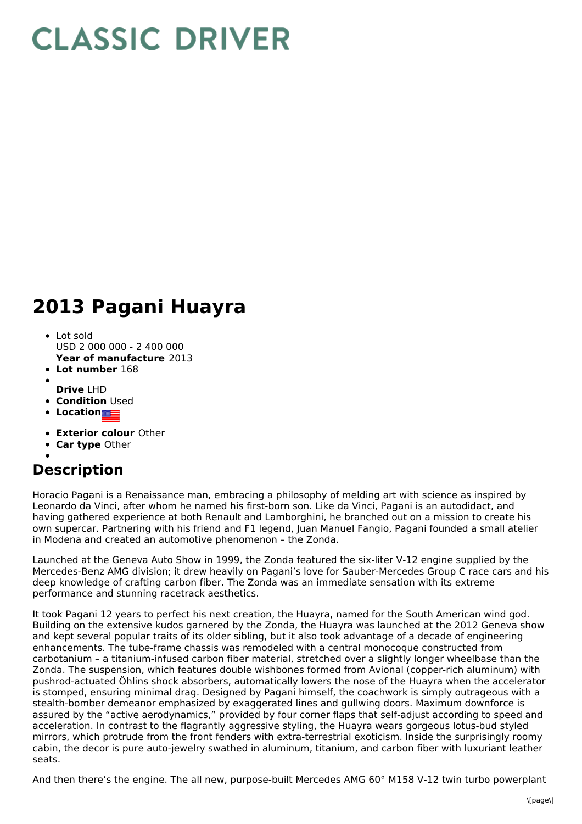## **CLASSIC DRIVER**

## **2013 Pagani Huayra**

- **Year of manufacture** 2013 • Lot sold USD 2 000 000 - 2 400 000
- **Lot number** 168
- 
- **Drive** LHD
- **Condition** Used
- **Location**
- **Exterior colour** Other
- **Car type** Other

## **Description**

Horacio Pagani is a Renaissance man, embracing a philosophy of melding art with science as inspired by Leonardo da Vinci, after whom he named his first-born son. Like da Vinci, Pagani is an autodidact, and having gathered experience at both Renault and Lamborghini, he branched out on a mission to create his own supercar. Partnering with his friend and F1 legend, Juan Manuel Fangio, Pagani founded a small atelier in Modena and created an automotive phenomenon – the Zonda.

Launched at the Geneva Auto Show in 1999, the Zonda featured the six-liter V-12 engine supplied by the Mercedes-Benz AMG division; it drew heavily on Pagani's love for Sauber-Mercedes Group C race cars and his deep knowledge of crafting carbon fiber. The Zonda was an immediate sensation with its extreme performance and stunning racetrack aesthetics.

It took Pagani 12 years to perfect his next creation, the Huayra, named for the South American wind god. Building on the extensive kudos garnered by the Zonda, the Huayra was launched at the 2012 Geneva show and kept several popular traits of its older sibling, but it also took advantage of a decade of engineering enhancements. The tube-frame chassis was remodeled with a central monocoque constructed from carbotanium – a titanium-infused carbon fiber material, stretched over a slightly longer wheelbase than the Zonda. The suspension, which features double wishbones formed from Avional (copper-rich aluminum) with pushrod-actuated Öhlins shock absorbers, automatically lowers the nose of the Huayra when the accelerator is stomped, ensuring minimal drag. Designed by Pagani himself, the coachwork is simply outrageous with a stealth-bomber demeanor emphasized by exaggerated lines and gullwing doors. Maximum downforce is assured by the "active aerodynamics," provided by four corner flaps that self-adjust according to speed and acceleration. In contrast to the flagrantly aggressive styling, the Huayra wears gorgeous lotus-bud styled mirrors, which protrude from the front fenders with extra-terrestrial exoticism. Inside the surprisingly roomy cabin, the decor is pure auto-jewelry swathed in aluminum, titanium, and carbon fiber with luxuriant leather seats.

And then there's the engine. The all new, purpose-built Mercedes AMG 60° M158 V-12 twin turbo powerplant